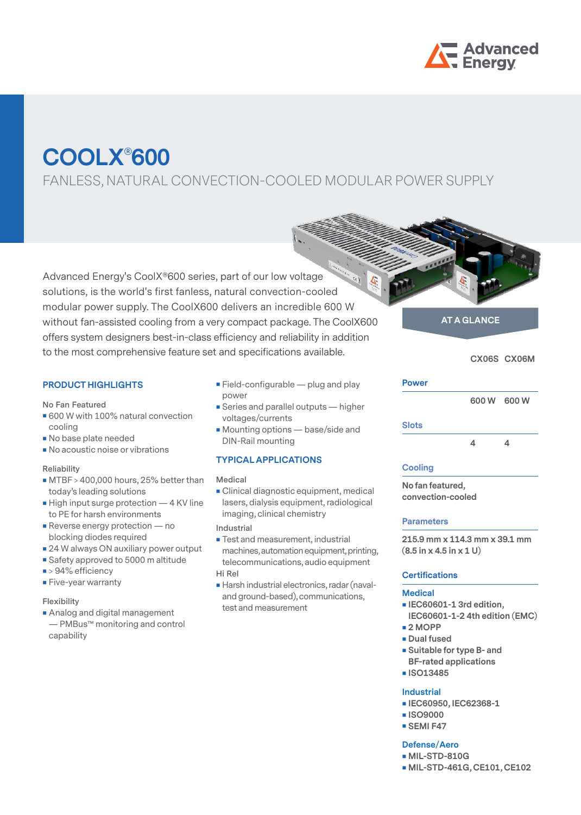

# **COOLX**®**600**

FANLESS, NATURAL CONVECTION-COOLED MODULAR POWER SUPPLY

Advanced Energy's CoolX®600 series, part of our low voltage  $\epsilon_{\epsilon}$ solutions, is the world's first fanless, natural convection-cooled modular power supply. The CoolX600 delivers an incredible 600 W without fan-assisted cooling from a very compact package. The CoolX600 offers system designers best-in-class efficiency and reliability in addition to the most comprehensive feature set and specifications available. CX06S CX06M

### **PRODUCT HIGHLIGHTS**

**No Fan Featured**

- 600 W with 100% natural convection cooling
- No base plate needed
- **No acoustic noise or vibrations**

#### **Reliability**

- **MTBF** > 400,000 hours, 25% better than today's leading solutions
- High input surge protection 4 KV line to PE for harsh environments
- **Reverse energy protection no** blocking diodes required
- 24 W always ON auxiliary power output
- Safety approved to 5000 m altitude
- > 94% efficiency
- **Five-year warranty**

#### **Flexibility**

**Analog and digital management** — PMBus™ monitoring and control capability

- **Field-configurable plug and play** power
- **Series and parallel outputs higher** voltages/currents
- **Mounting options** base/side and DIN-Rail mounting

#### **TYPICAL APPLICATIONS**

#### **Medical**

**Clinical diagnostic equipment, medical** lasers, dialysis equipment, radiological imaging, clinical chemistry

#### **Industrial**

- Test and measurement, industrial machines, automation equipment, printing, telecommunications, audio equipment **Hi Rel**
- Harsh industrial electronics, radar (navaland ground-based), communications, test and measurement

# **AT A GLANCE**

#### **Power**

 **600 W 600 W**

#### **Slots**

 **4 4**

#### **Cooling**

**No fan featured, convection-cooled**

#### **Parameters**

**215.9 mm x 114.3 mm x 39.1 mm (8.5 in x 4.5 in x 1 U)**

#### **Certifications**

#### **Medical**

- **IEC60601-1 3rd edition,**
- **IEC60601-1-2 4th edition (EMC) 2 MOPP**
- **Dual fused**
- **s** Suitable for type B- and
- **BF-rated applications**
- **ISO13485**

#### **Industrial**

- **IEC60950, IEC62368-1**
- **ISO9000**
- **SEMI F47**

#### **Defense/Aero**

- **MIL-STD-810G**
- **MIL-STD-461G, CE101, CE102**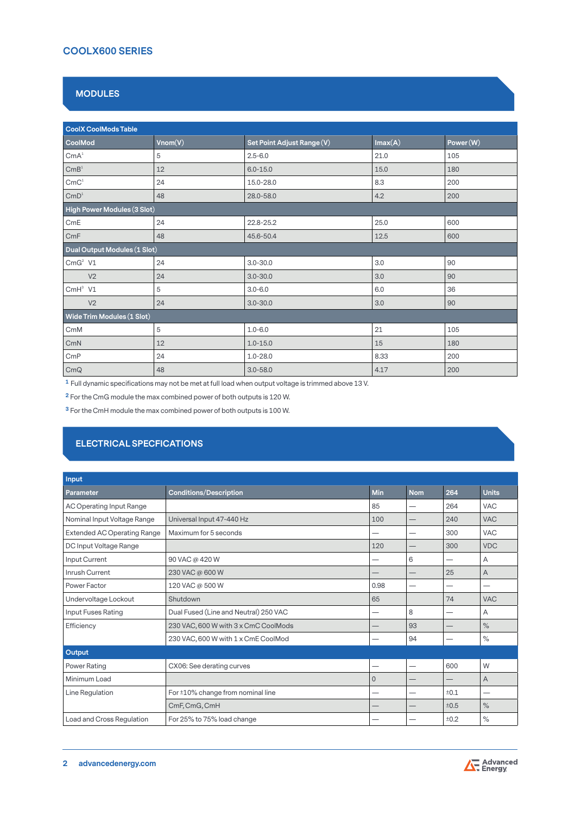# **COOLX600 SERIES**

# **MODULES**

| <b>CoolX CoolMods Table</b>          |         |                            |         |          |
|--------------------------------------|---------|----------------------------|---------|----------|
| CoolMod                              | Vnom(V) | Set Point Adjust Range (V) | Imax(A) | Power(W) |
| CmA <sup>1</sup>                     | 5       | $2.5 - 6.0$                | 21.0    | 105      |
| $\text{CmB}^{\text{1}}$              | 12      | $6.0 - 15.0$               | 15.0    | 180      |
| $\text{CmC}^{\scriptscriptstyle{1}}$ | 24      | 15.0-28.0                  | 8.3     | 200      |
| $\mathsf{CmD}^1$                     | 48      | 28.0-58.0                  | 4.2     | 200      |
| High Power Modules (3 Slot)          |         |                            |         |          |
| CmE                                  | 24      | 22.8-25.2                  | 25.0    | 600      |
| CmF                                  | 48      | 45.6-50.4                  | 12.5    | 600      |
| Dual Output Modules (1 Slot)         |         |                            |         |          |
| $CmG2$ V1                            | 24      | $3.0 - 30.0$               | 3.0     | 90       |
| V <sub>2</sub>                       | 24      | $3.0 - 30.0$               | 3.0     | 90       |
| $CmH^3$ V1                           | 5       | $3.0 - 6.0$                | 6.0     | 36       |
| V <sub>2</sub>                       | 24      | $3.0 - 30.0$               | 3.0     | 90       |
| Wide Trim Modules (1 Slot)           |         |                            |         |          |
| CmM                                  | 5       | $1.0 - 6.0$                | 21      | 105      |
| CmN                                  | 12      | $1.0 - 15.0$               | 15      | 180      |
| CmP                                  | 24      | $1.0 - 28.0$               | 8.33    | 200      |
| CmQ                                  | 48      | $3.0 - 58.0$               | 4.17    | 200      |

**1** Full dynamic specifications may not be met at full load when output voltage is trimmed above 13 V.

**2** For the CmG module the max combined power of both outputs is 120 W.

**3** For the CmH module the max combined power of both outputs is 100 W.

# **ELECTRICAL SPECFICATIONS**

| Input                              |                                       |              |            |      |              |
|------------------------------------|---------------------------------------|--------------|------------|------|--------------|
| Parameter                          | <b>Conditions/Description</b>         | <b>Min</b>   | <b>Nom</b> | 264  | <b>Units</b> |
| <b>AC Operating Input Range</b>    |                                       | 85           | -          | 264  | <b>VAC</b>   |
| Nominal Input Voltage Range        | Universal Input 47-440 Hz             | 100          |            | 240  | <b>VAC</b>   |
| <b>Extended AC Operating Range</b> | Maximum for 5 seconds                 | -            | -          | 300  | <b>VAC</b>   |
| DC Input Voltage Range             |                                       | 120          | –          | 300  | <b>VDC</b>   |
| Input Current                      | 90 VAC @ 420 W                        | -            | 6          |      | Α            |
| Inrush Current                     | 230 VAC @ 600 W                       |              | --         | 25   | A            |
| Power Factor                       | 120 VAC @ 500 W                       | 0.98         | -          |      |              |
| Undervoltage Lockout               | Shutdown                              | 65           |            | 74   | <b>VAC</b>   |
| Input Fuses Rating                 | Dual Fused (Line and Neutral) 250 VAC |              | 8          |      | Α            |
| Efficiency                         | 230 VAC, 600 W with 3 x CmC CoolMods  |              | 93         |      | $\%$         |
|                                    | 230 VAC, 600 W with 1 x CmE CoolMod   |              | 94         |      | $\%$         |
| Output                             |                                       |              |            |      |              |
| <b>Power Rating</b>                | CX06: See derating curves             |              | --         | 600  | W            |
| Minimum Load                       |                                       | $\mathbf{0}$ |            |      | A            |
| Line Regulation                    | For ±10% change from nominal line     | —            | --         | ±0.1 | -            |
|                                    | CmF, CmG, CmH                         |              |            | ±0.5 | $\%$         |
| Load and Cross Regulation          | For 25% to 75% load change            |              |            | ±0.2 | $\%$         |

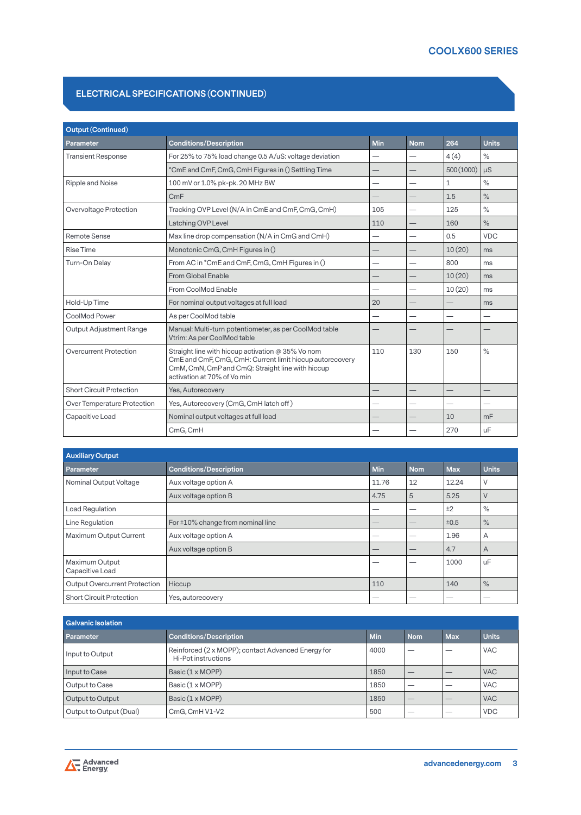# **ELECTRICAL SPECIFICATIONS (CONTINUED)**

| <b>Output (Continued)</b>       |                                                                                                                                                                                                  |                          |                          |            |               |
|---------------------------------|--------------------------------------------------------------------------------------------------------------------------------------------------------------------------------------------------|--------------------------|--------------------------|------------|---------------|
| Parameter                       | <b>Conditions/Description</b>                                                                                                                                                                    | Min                      | <b>Nom</b>               | 264        | <b>Units</b>  |
| <b>Transient Response</b>       | For 25% to 75% load change 0.5 A/uS: voltage deviation                                                                                                                                           | —                        | $\overline{\phantom{0}}$ | 4(4)       | $\%$          |
|                                 | *CmE and CmF, CmG, CmH Figures in () Settling Time                                                                                                                                               |                          |                          | 500 (1000) | uS            |
| Ripple and Noise                | 100 mV or 1.0% pk-pk. 20 MHz BW                                                                                                                                                                  |                          |                          | 1          | $\frac{1}{2}$ |
|                                 | CmF                                                                                                                                                                                              |                          |                          | 1.5        | $\frac{1}{2}$ |
| Overvoltage Protection          | Tracking OVP Level (N/A in CmE and CmF, CmG, CmH)                                                                                                                                                | 105                      |                          | 125        | $\frac{1}{2}$ |
|                                 | Latching OVP Level                                                                                                                                                                               | 110                      |                          | 160        | $\%$          |
| <b>Remote Sense</b>             | Max line drop compensation (N/A in CmG and CmH)                                                                                                                                                  |                          |                          | 0.5        | <b>VDC</b>    |
| <b>Rise Time</b>                | Monotonic CmG, CmH Figures in ()                                                                                                                                                                 |                          |                          | 10(20)     | ms            |
| Turn-On Delay                   | From AC in *CmE and CmF, CmG, CmH Figures in ()                                                                                                                                                  |                          |                          | 800        | ms            |
|                                 | From Global Enable                                                                                                                                                                               |                          |                          | 10(20)     | ms            |
|                                 | From CoolMod Enable                                                                                                                                                                              |                          |                          | 10(20)     | ms            |
| Hold-Up Time                    | For nominal output voltages at full load                                                                                                                                                         | 20                       |                          |            | ms            |
| CoolMod Power                   | As per CoolMod table                                                                                                                                                                             | $\overline{\phantom{0}}$ | -                        |            | -             |
| <b>Output Adjustment Range</b>  | Manual: Multi-turn potentiometer, as per CoolMod table<br>Vtrim: As per CoolMod table                                                                                                            |                          |                          |            |               |
| Overcurrent Protection          | Straight line with hiccup activation @ 35% Vo nom<br>CmE and CmF, CmG, CmH: Current limit hiccup autorecovery<br>CmM, CmN, CmP and CmQ: Straight line with hiccup<br>activation at 70% of Vo min | 110                      | 130                      | 150        | $\%$          |
| <b>Short Circuit Protection</b> | Yes, Autorecovery                                                                                                                                                                                |                          |                          |            |               |
| Over Temperature Protection     | Yes, Autorecovery (CmG, CmH latch off)                                                                                                                                                           |                          |                          |            |               |
| Capacitive Load                 | Nominal output voltages at full load                                                                                                                                                             |                          |                          | 10         | mF            |
|                                 | CmG, CmH                                                                                                                                                                                         |                          |                          | 270        | uF            |

| <b>Auxiliary Output</b>           |                                   |            |            |            |              |
|-----------------------------------|-----------------------------------|------------|------------|------------|--------------|
| Parameter                         | <b>Conditions/Description</b>     | <b>Min</b> | <b>Nom</b> | <b>Max</b> | <b>Units</b> |
| Nominal Output Voltage            | Aux voltage option A              | 11.76      | 12         | 12.24      | V            |
|                                   | Aux voltage option B              | 4.75       | 5          | 5.25       | V            |
| Load Regulation                   |                                   |            | -          | ±2         | $\%$         |
| Line Regulation                   | For ±10% change from nominal line |            |            | ±0.5       | $\%$         |
| Maximum Output Current            | Aux voltage option A              |            |            | 1.96       | A            |
|                                   | Aux voltage option B              |            |            | 4.7        | A            |
| Maximum Output<br>Capacitive Load |                                   |            |            | 1000       | uF           |
| Output Overcurrent Protection     | Hiccup                            | 110        |            | 140        | $\%$         |
| <b>Short Circuit Protection</b>   | Yes, autorecovery                 |            |            |            |              |

| <b>Galvanic Isolation</b> |                                                                           |            |            |            |              |
|---------------------------|---------------------------------------------------------------------------|------------|------------|------------|--------------|
| Parameter                 | <b>Conditions/Description</b>                                             | <b>Min</b> | <b>Nom</b> | <b>Max</b> | <b>Units</b> |
| Input to Output           | Reinforced (2 x MOPP); contact Advanced Energy for<br>Hi-Pot instructions | 4000       |            |            | <b>VAC</b>   |
| Input to Case             | Basic (1 x MOPP)                                                          | 1850       |            |            | <b>VAC</b>   |
| Output to Case            | Basic (1 x MOPP)                                                          | 1850       |            |            | <b>VAC</b>   |
| Output to Output          | Basic (1 x MOPP)                                                          | 1850       |            |            | <b>VAC</b>   |
| Output to Output (Dual)   | CmG, CmH V1-V2                                                            | 500        |            |            | <b>VDC</b>   |

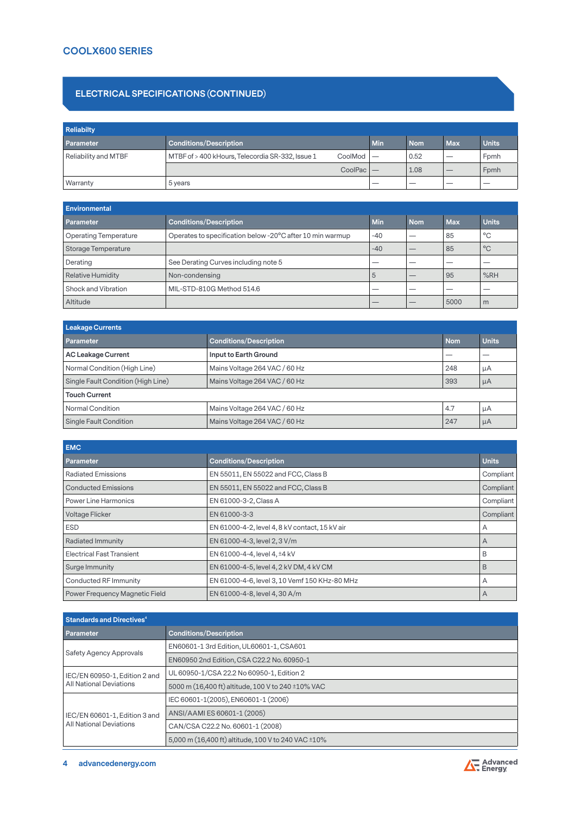# **COOLX600 SERIES**

## **ELECTRICAL SPECIFICATIONS (CONTINUED)**

| <b>Reliabilty</b>           |                                                             |     |            |            |              |
|-----------------------------|-------------------------------------------------------------|-----|------------|------------|--------------|
| <b>Parameter</b>            | <b>Conditions/Description</b>                               | Min | <b>Nom</b> | <b>Max</b> | <b>Units</b> |
| <b>Reliability and MTBF</b> | MTBF of > 400 kHours, Telecordia SR-332, Issue 1<br>CoolMod |     | 0.52       |            | Fomh         |
|                             | CoolPac                                                     |     | 1.08       |            | Fomh         |
| Warranty                    | 5 years                                                     | __  |            |            |              |

| <b>Environmental</b>         |                                                           |            |            |            |              |
|------------------------------|-----------------------------------------------------------|------------|------------|------------|--------------|
| <b>Parameter</b>             | <b>Conditions/Description</b>                             | <b>Min</b> | <b>Nom</b> | <b>Max</b> | <b>Units</b> |
| <b>Operating Temperature</b> | Operates to specification below -20°C after 10 min warmup | $-40$      |            | 85         | °C           |
| Storage Temperature          |                                                           | $-40$      |            | 85         | $^{\circ}$ C |
| Derating                     | See Derating Curves including note 5                      |            |            |            |              |
| <b>Relative Humidity</b>     | Non-condensing                                            | 5          |            | 95         | %RH          |
| Shock and Vibration          | MIL-STD-810G Method 514.6                                 | __         |            |            |              |
| Altitude                     |                                                           |            |            | 5000       | m            |

| Leakage Currents                   |                               |            |              |  |  |
|------------------------------------|-------------------------------|------------|--------------|--|--|
| <b>Parameter</b>                   | <b>Conditions/Description</b> | <b>Nom</b> | <b>Units</b> |  |  |
| <b>AC Leakage Current</b>          | Input to Earth Ground         |            |              |  |  |
| Normal Condition (High Line)       | Mains Voltage 264 VAC / 60 Hz | 248        | μA           |  |  |
| Single Fault Condition (High Line) | Mains Voltage 264 VAC / 60 Hz | 393        | <b>µA</b>    |  |  |
| <b>Touch Current</b>               |                               |            |              |  |  |
| <b>Normal Condition</b>            | Mains Voltage 264 VAC / 60 Hz | 4.7        | μA           |  |  |
| Single Fault Condition             | Mains Voltage 264 VAC / 60 Hz | 247        | μA           |  |  |

| <b>EMC</b>                       |                                                |              |
|----------------------------------|------------------------------------------------|--------------|
| Parameter                        | <b>Conditions/Description</b>                  | <b>Units</b> |
| <b>Radiated Emissions</b>        | EN 55011, EN 55022 and FCC, Class B            | Compliant    |
| <b>Conducted Emissions</b>       | EN 55011, EN 55022 and FCC, Class B            | Compliant    |
| <b>Power Line Harmonics</b>      | EN 61000-3-2, Class A                          | Compliant    |
| Voltage Flicker                  | EN 61000-3-3                                   | Compliant    |
| <b>ESD</b>                       | EN 61000-4-2, level 4, 8 kV contact, 15 kV air | Α            |
| <b>Radiated Immunity</b>         | EN 61000-4-3, level 2, 3 V/m                   | A            |
| <b>Electrical Fast Transient</b> | EN 61000-4-4, level 4, ±4 kV                   | B            |
| Surge Immunity                   | EN 61000-4-5, level 4, 2 kV DM, 4 kV CM        | B            |
| Conducted RF Immunity            | EN 61000-4-6, level 3, 10 Vemf 150 KHz-80 MHz  | А            |
| Power Frequency Magnetic Field   | EN 61000-4-8, level 4, 30 A/m                  | A            |

| <b>Standards and Directives<sup>4</sup></b>              |                                                     |  |
|----------------------------------------------------------|-----------------------------------------------------|--|
| <b>Parameter</b>                                         | <b>Conditions/Description</b>                       |  |
| Safety Agency Approvals                                  | EN60601-1 3rd Edition, UL60601-1, CSA601            |  |
|                                                          | EN60950 2nd Edition, CSA C22.2 No. 60950-1          |  |
| IEC/EN 60950-1, Edition 2 and<br>All National Deviations | UL 60950-1/CSA 22.2 No 60950-1. Edition 2           |  |
|                                                          | 5000 m (16,400 ft) altitude, 100 V to 240 ±10% VAC  |  |
| IEC/EN 60601-1, Edition 3 and<br>All National Deviations | IEC 60601-1(2005), EN60601-1 (2006)                 |  |
|                                                          | ANSI/AAMI ES 60601-1 (2005)                         |  |
|                                                          | CAN/CSA C22.2 No. 60601-1 (2008)                    |  |
|                                                          | 5,000 m (16,400 ft) altitude, 100 V to 240 VAC ±10% |  |

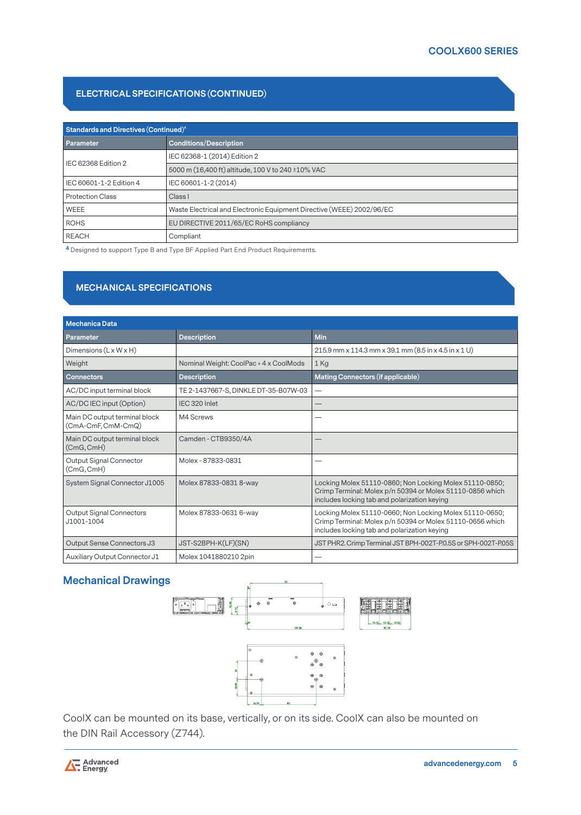# **ELECTRICAL SPECIFICATIONS (CONTINUED)**

| Standards and Directives (Continued) <sup>4</sup> |                                                                       |  |  |  |
|---------------------------------------------------|-----------------------------------------------------------------------|--|--|--|
| <b>Parameter</b>                                  | <b>Conditions/Description</b>                                         |  |  |  |
|                                                   | IEC 62368-1 (2014) Edition 2                                          |  |  |  |
| IEC 62368 Edition 2                               | 5000 m (16,400 ft) altitude, 100 V to 240 ±10% VAC                    |  |  |  |
| IEC 60601-1-2 Edition 4                           | IEC 60601-1-2 (2014)                                                  |  |  |  |
| Protection Class                                  | Class I                                                               |  |  |  |
| <b>WEEE</b>                                       | Waste Electrical and Electronic Equipment Directive (WEEE) 2002/96/EC |  |  |  |
| <b>ROHS</b>                                       | EU DIRECTIVE 2011/65/EC RoHS compliancy                               |  |  |  |
| <b>REACH</b>                                      | Compliant                                                             |  |  |  |

**<sup>4</sup>** Designed to support Type B and Type BF Applied Part End Product Requirements.

# **MECHANICAL SPECIFICATIONS**

| <b>Mechanica Data</b>                               |                                        |                                                                                                                                                                      |
|-----------------------------------------------------|----------------------------------------|----------------------------------------------------------------------------------------------------------------------------------------------------------------------|
| Parameter                                           | <b>Description</b>                     | <b>Min</b>                                                                                                                                                           |
| Dimensions $(L \times W \times H)$                  |                                        | 215.9 mm x 114.3 mm x 39.1 mm (8.5 in x 4.5 in x 1 U)                                                                                                                |
| Weight                                              | Nominal Weight: CoolPac + 4 x CoolMods | 1 Kg                                                                                                                                                                 |
| <b>Connectors</b>                                   | <b>Description</b>                     | Mating Connectors (if applicable)                                                                                                                                    |
| AC/DC input terminal block                          | TE 2-1437667-S, DINKLE DT-35-B07W-03   | $\overline{\phantom{0}}$                                                                                                                                             |
| AC/DC IEC input (Option)                            | IEC 320 Inlet                          |                                                                                                                                                                      |
| Main DC output terminal block<br>(CmA-CmF, CmM-CmQ) | M4 Screws                              |                                                                                                                                                                      |
| Main DC output terminal block<br>(CmG, CmH)         | Camden - CTB9350/4A                    |                                                                                                                                                                      |
| <b>Output Signal Connector</b><br>(CmG, CmH)        | Molex - 87833-0831                     |                                                                                                                                                                      |
| System Signal Connector J1005                       | Molex 87833-0831 8-way                 | Locking Molex 51110-0860; Non Locking Molex 51110-0850;<br>Crimp Terminal: Molex p/n 50394 or Molex 51110-0856 which<br>includes locking tab and polarization keying |
| <b>Output Signal Connectors</b><br>J1001-1004       | Molex 87833-0631 6-way                 | Locking Molex 51110-0660; Non Locking Molex 51110-0650;<br>Crimp Terminal: Molex p/n 50394 or Molex 51110-0656 which<br>includes locking tab and polarization keying |
| Output Sense Connectors J3                          | JST-S2BPH-K(LF)(SN)                    | JST PHR2. Crimp Terminal JST BPH-002T-P.0.5S or SPH-002T-P.05S                                                                                                       |
| Auxiliary Output Connector J1                       | Molex 1041880210 2pin                  |                                                                                                                                                                      |

# **Mechanical Drawings**



CoolX can be mounted on its base, vertically, or on its side. CoolX can also be mounted on the DIN Rail Accessory (Z744).

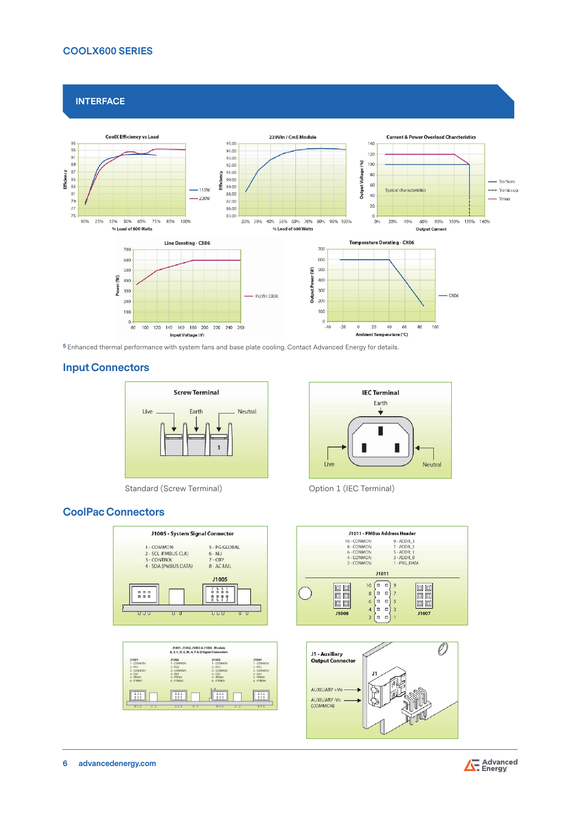## **COOLX600 SERIES**

**INTERFACE**



**<sup>5</sup>** Enhanced thermal performance with system fans and base plate cooling. Contact Advanced Energy for details.

# **Input Connectors**



Standard (Screw Terminal) Channel Coption 1 (IEC Terminal)

# **CoolPac Connectors**



|                    | J1001, J1002, J1003 & J1004 - Module         |                        |            |
|--------------------|----------------------------------------------|------------------------|------------|
|                    | A, B, C, D, E, M, N, P & Q Signal Connectors |                        |            |
| <b>J1001</b>       | J1002                                        | J1003                  | J1004      |
| 1 - COMMON         | 1-COMMON                                     | 1-COMMON               | 1 - COMMON |
| $2 - PG1$          | $2 - PG2$                                    | $2 - PG3$              | $2 - PG4$  |
| 3 - CONMON         | 3 - COMMON                                   | 3 - COMMON             | 3 - COMMON |
| $4 - EN1$          | $4 - EN2$                                    | $4 - ENS$              | $4 - EN4$  |
| $5 - \text{TRIM1}$ | S-ITRIM2                                     | $S - ITRIM3$           | S-ITRIMA   |
| 6-VTRM1            | 6-VTRIM2                                     | 6-VTRIM3               | 6-VTRM4    |
|                    |                                              |                        |            |
| 21<br>888          | ٠<br>899                                     | n <i>n</i><br>ñ<br>888 | 225        |







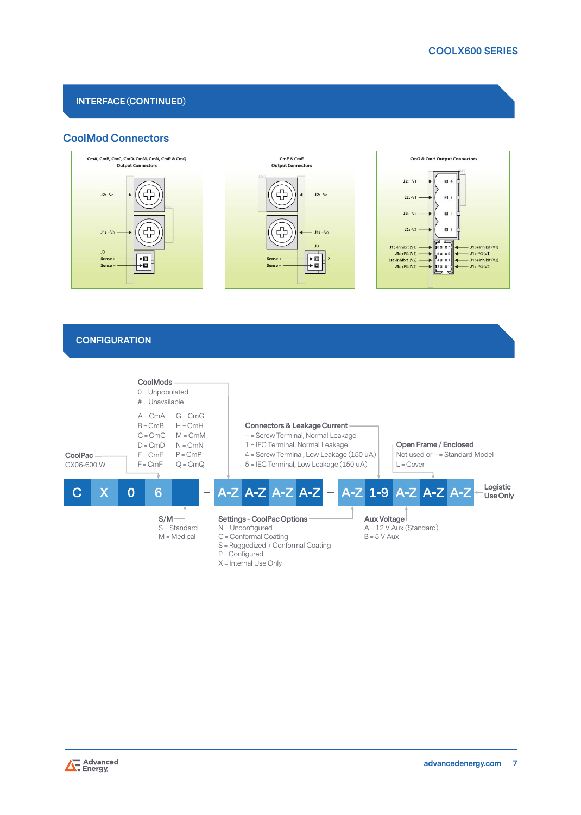# **INTERFACE (CONTINUED)**

# **CoolMod Connectors**



### **CONFIGURATION**